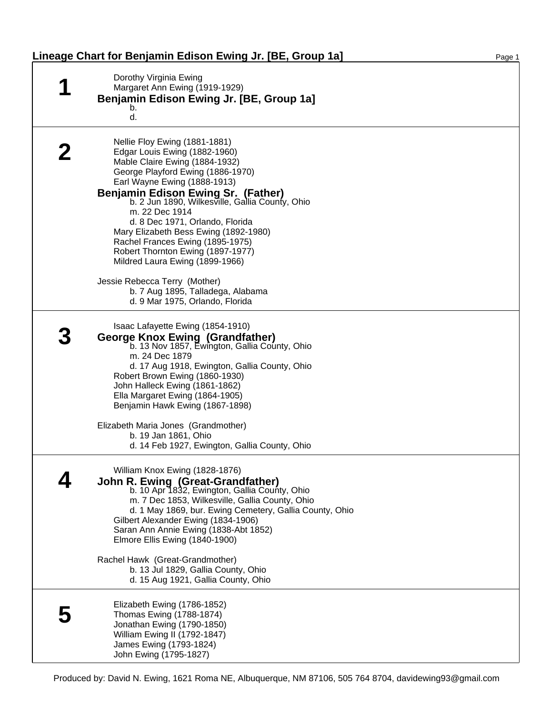| Dorothy Virginia Ewing<br>Margaret Ann Ewing (1919-1929)<br>Benjamin Edison Ewing Jr. [BE, Group 1a]<br>b.<br>d.                                                                                                                                                                                                                                                                                                                                                                                                                                                                         |
|------------------------------------------------------------------------------------------------------------------------------------------------------------------------------------------------------------------------------------------------------------------------------------------------------------------------------------------------------------------------------------------------------------------------------------------------------------------------------------------------------------------------------------------------------------------------------------------|
| Nellie Floy Ewing (1881-1881)<br>Edgar Louis Ewing (1882-1960)<br>Mable Claire Ewing (1884-1932)<br>George Playford Ewing (1886-1970)<br>Earl Wayne Ewing (1888-1913)<br><b>Benjamin Edison Ewing Sr. (Father)</b><br>b. 2 Jun 1890, Wilkesville, Gallia County, Ohio<br>m. 22 Dec 1914<br>d. 8 Dec 1971, Orlando, Florida<br>Mary Elizabeth Bess Ewing (1892-1980)<br>Rachel Frances Ewing (1895-1975)<br>Robert Thornton Ewing (1897-1977)<br>Mildred Laura Ewing (1899-1966)<br>Jessie Rebecca Terry (Mother)<br>b. 7 Aug 1895, Talladega, Alabama<br>d. 9 Mar 1975, Orlando, Florida |
| Isaac Lafayette Ewing (1854-1910)<br><b>George Knox Ewing (Grandfather)</b><br>b. 13 Nov 1857, Ewington, Gallia County, Ohio<br>m. 24 Dec 1879<br>d. 17 Aug 1918, Ewington, Gallia County, Ohio<br>Robert Brown Ewing (1860-1930)<br>John Halleck Ewing (1861-1862)<br>Ella Margaret Ewing (1864-1905)<br>Benjamin Hawk Ewing (1867-1898)<br>Elizabeth Maria Jones (Grandmother)<br>b. 19 Jan 1861, Ohio<br>d. 14 Feb 1927, Ewington, Gallia County, Ohio                                                                                                                                |
| William Knox Ewing (1828-1876)<br>John R. Ewing (Great-Grandfather)<br>b. 10 Apr 1832, Ewington, Gallia County, Ohio<br>m. 7 Dec 1853, Wilkesville, Gallia County, Ohio<br>d. 1 May 1869, bur. Ewing Cemetery, Gallia County, Ohio<br>Gilbert Alexander Ewing (1834-1906)<br>Saran Ann Annie Ewing (1838-Abt 1852)<br>Elmore Ellis Ewing (1840-1900)<br>Rachel Hawk (Great-Grandmother)<br>b. 13 Jul 1829, Gallia County, Ohio<br>d. 15 Aug 1921, Gallia County, Ohio                                                                                                                    |
| Elizabeth Ewing (1786-1852)<br>Thomas Ewing (1788-1874)<br>Jonathan Ewing (1790-1850)<br>William Ewing II (1792-1847)<br>James Ewing (1793-1824)<br>John Ewing (1795-1827)                                                                                                                                                                                                                                                                                                                                                                                                               |